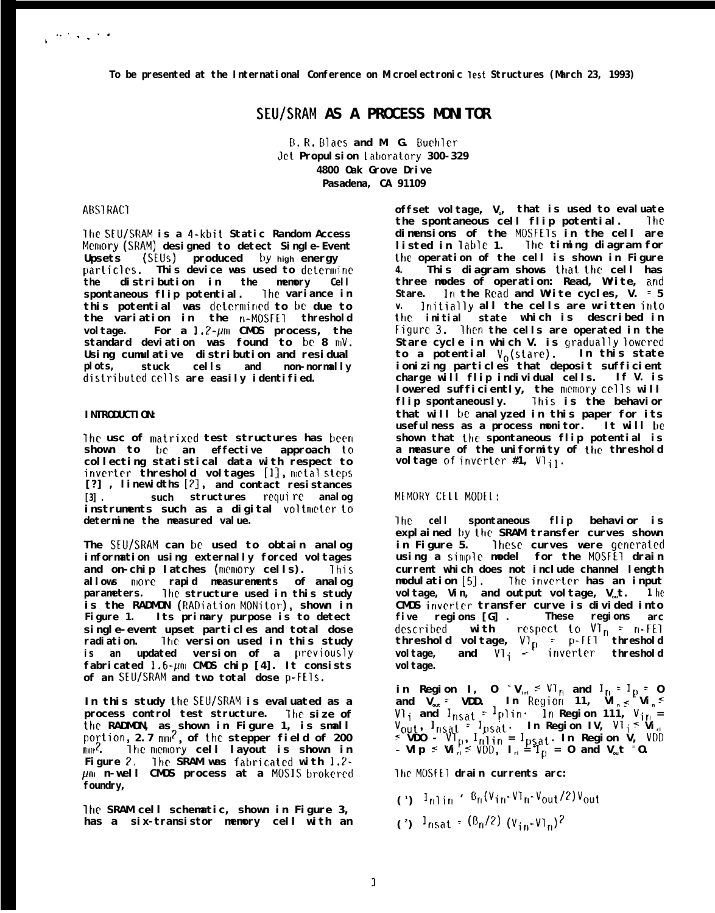## **SEU/SRAM AS A PROCESS MONITOR**

**B. R, Ellaes and M. G. Buehler Jet Propulsion** latlora~ory **300-329 4800 Oak Grove Drive Pasadena, CA 91109**

## **ABSTRACT**

**lhe SEU/SRAM is a 4-kbit Static Random Access Mmory (SRAM) designed to detect Single-Event Upsets (SEUS) produced by high energy particles.** This device was used to determine **the distribution in the memory Cell spontaneous flip potential. The variance in this potential was dctcrrnincci to be due to the variation in the n-MOSFEl threshold voltage. For a l.?-prn CMOS process, the** standard deviation was found to be 8 mV. **Using cumulative distribution and residual plots, stuck cells and non-normally distrit)uted cells are easily identified.**

#### **INTRODUCTION:**

The usc of matrixed test structures has been shown to be an effective approach to **collecting statistical data with respect to**  $i$ **nverter** threshold voltages [1], metal steps **[?] , linewidths [2], and contact resistances [3] . such structures requi re analog instruments such as a digital voltmrter to determine the measured value.**

**The SEU/SRAM can be used to obtain analog information using externally forced voltages and on-chip latches (nmory cells). ?his allows nlorc rapid measurements of analog parameters. The structure used in this study is the RADMON (RADiation MONitor), shown in Figure 1. Its primary purpose is to detect single-event upset particles and total dose radiation. lhe version used in this study** is an updated version of a previously fabricated 1.6- $\mu$ m CMOS chip [4]. It consists **of an SEU/SRAM and two total dose P-FEIs.**

**In this study the SEU/SRAM is evaluated as a process control test structure. The size of the RADMON, as shown in Figure 1, is small po;tion, 2.7 rnrr?, of the stepper field of 200**  $\text{min}^2$ . The memory cell layout is shown in **Figure ?, TIN? SRAM was fatrricated with 1.2 pm n-well CMOS process at a MOSIS brokered foundry,**

**lhc SRAM cell schematic, shown in Figure 3, has a six-transistor memory cell with an**

**offset voltage, Vo, that is used to evaluate the spontaneous cell flip potential. lhc dimensions of the MOSFE\_ls in the cell are listed in lable 1. The timing diagram for the operation of the cell is shown in Figure 4. This diagram shows that the cell has three modes of operation: Read, Write, and Stare. In the Read and Write cycles, V. = 5 v. ]nitially all the cells are written into ttlc initial state which is described in Figure 3. lhen the cells are operated in the Stare cycle in which V. is gradually lowered to a potential Vo(stare). In this state ionizing particles that deposit sufficient charge will flip individual cells. If V. is** <code>lowered sufficiently, the <code>n</code>emory <code>cells</code> will</code> **flip spontaneously. lhis is the behavior that will be analyzed in this paper for its usefulness as a process monitor. It will be shown that the spontaneous flip potential is a measure of the uniformity of the threshold voltage of invcrter #1, Vlil.**

## **MEMDRY CELL MODE1:**

**lhe cell spontaneous flip behavior is explained hy the SRAM transfer curves shown** in Figure 5. **These** curves were generated **using a simple model for the MOSFE1 drain current which does not include channel length modulation [5]. lhe inverter has an input voltage, Vin, and output voltage, Vout. 1 he CMOS invcrtcr transfer curve is divided into five regions [G] . These regions arc descrik]ed with respect to Vlrl <sup>=</sup> rl-fEl threshold voltage, VT-P <sup>=</sup> p-FET threshold voltage, and VTi - inverter threshold** vol tage.

**in Region I, O <sup>&</sup>lt;Virl <sup>~</sup> VTrl and Irl <sup>=</sup> IF] = O and Vout = VDD. In Region 11, Vln s Vin <sup>~</sup> Vli and lnsat <sup>~</sup> Iplin. In Region 111, Virl = 'out? 'nsat ' lpsat" In Region IV, VTi < Virl < VDO - VTF), Irllin = IF,sat. In Region V, VDD -** VI  $_{1}$  **s**  $\forall$ i  $_{1}$  **f**  $\leq$  **VDD**,  $I_{11}$  **=**  $\prod_{i=1}^{n}$  **p**  $I_{2i}$  **c** and  $V_{01}$  **t**  $=$  0.

**lhe MOSFE1 drain currents arc:**

- **( 1 ) 'nlin ' F3n(Vin-Vln-Vout/2)Vout**
- $(2)$  lnsat **f**  $(\frac{15n}{2})$   $(\frac{1}{2}n-\frac{1}{2})$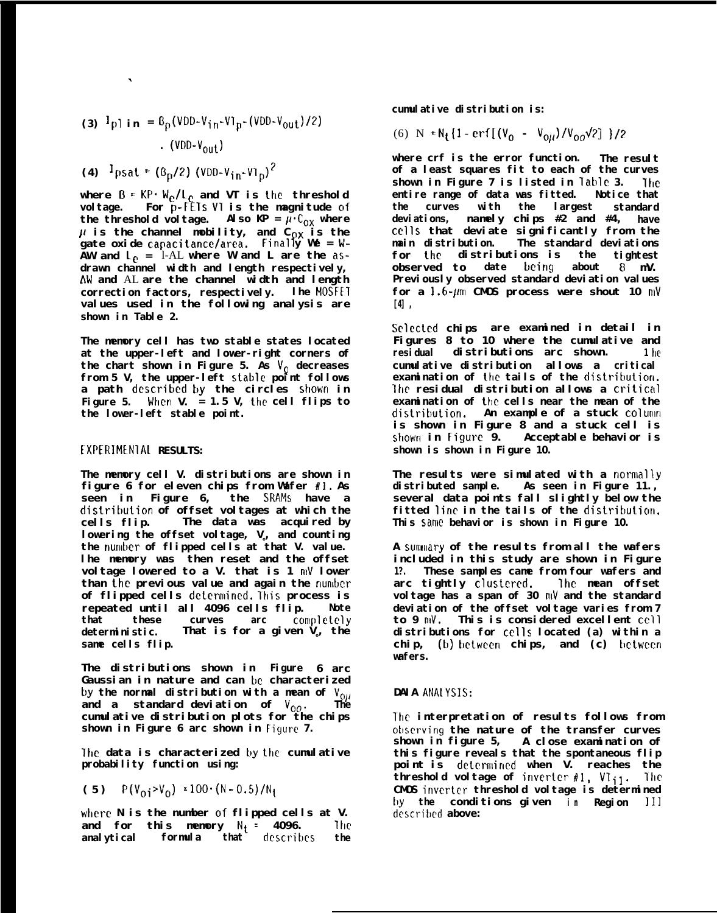(3) 
$$
{}^{1}P1
$$
 in =  ${}^{6}P(VDD-Vin-V1p-(VDD-V_{out})/2)$   
 (VDD-V<sub>out</sub>)

 $(4)$  <sup>1</sup>psat **=**  $(6_p/2)$   $(VDD-V_{1n}-VI_p)^2$ 

.

**where B <sup>=</sup> KP" We/Lc and VT is the threshold voltage. For p-FETs V1 is the magnitude of** the threshold voltage. Also  $KP = \overline{\mu} \cdot C_{0X}$  where  $\mu$  is the channel mobility, and C $_{\mathsf{O}\mathsf{X}}$  is the **gate oxide capacitancclarea. Final y We = f W-**AW and  $L_{\rho}$  = 1-AL where W and L are the  $as$ **drawn channel width and length respectively, AW and** AL **are the channel width and length correction factors, respectively. lhe MOSFET values used in the following analysis are shown in Table 2.**

**The memory cell has two stable states located at the upper-left and lower-right corners of the chart shown in Figure 5. As VQ decreases from 5 V, the upper-left stable point follows a path dcscribcd by the circles shok'n in Figure 5. When V. = 1.5 V, the cell flips to the lower-left stable point.**

### **EXPERIMENIA1 RESULTS:**

**The memory cell V. distributions are shown in figure 6 for eleven chips from Wafer #l. As seen in Figure 6, the SRAMS have a distritwtion of offset voltages at which the cells flip. The data was acquired by lowering the offset voltage, Vo, and counting** the **number** of flipped cells at that V. value. **lhe memory was then reset and the offset voltage lowered to a V. that is 1 nlV lower than the previous value and again the number of flipped cells dctemlined. ?his process is repeated until all 4096 cells flip. Note that these curves arc Corrlplctcly deterministic. That is for a given Vo, the same cells flip.**

**The distributions shown in Figure 6 arc Gaussian in nature and can bc characterized** by the normal distribution with a mean of  $V_{0\mu}$ **and a standard deviation of Voo. The cumulative distribution plots for the chips shown in Figure 6 arc shown in Figure 7.**

**lhe data is characterized by the cumulative probability function using:**

(5)  $P(V_{0i} > V_0) = 100 \cdot (N - 0.5) / N_1$ 

where N is the number of flipped cells at V.<br>and for this memory N<sub>1</sub> = 4096. The **and for this memory Nt = 4096. Ihc analytical formula that dcscrihcs the**

**cumulative distribution is:**

# (6) N =  $N_t$ {1 - **crf**[( $V_0$  -  $V_{0ll}$ )/ $V_{00}$  $\sqrt{2}$ ] }/2

**where crf is the error function. The result of a least squares fit to each of the curves shown in Figure 7 is listed in Tat)lc 3. -fhe entire range of data was fitted. Notice that the curves with the largest standard deviations, namely chips #2 and #4, have CC1lS that deviate significantly from the main distribution. The standard deviations for the distributions is the tightest observed to** date **being** Previously observed standard deviation values **for a 1.6-pm CMOS process were shout 10 mV [4] ,**

**Sclectcd chips are examined in detail in Figures 8 to 10 where the cumulative and residual distributions arc shown. 1 hc cumulative distribution allows a critical** examination of the tails of the distribution. **lhe** residual distribution allows a **critical examination of the cells near the mean of the distritmtion. An example of a stuck colunm is shown in Figure 8 and a stuck cell is shown in Figure 9. Acceptable behavior is shown is shown in Figure 10.**

The results were simulated with a **normally distributed sample. As seen in Figure 11., several data points fall slightly below the** fitted line in the tails of the distribution. **This sarnc behavior is shown in Figure 10.**

**A sunmary of the results from all the wafers included in this study are shown in Figure 1?. These samples came from four wafers and arc tightly clustcrcd. Ihc mean offset voltage has a span of 30 rnV and the standard deviation of the offset voltage varies from 7 to 9 nO1. This is considered excellent CCI1 distributions for CC1lS located (a) within a** chip, (**b**) **between** chips, and (**c**) **between wafers.**

#### **DAIA ANAIYSIS:**

**lhc interpretation of results follows from otlscrving the nature of the transfer curves shown in figure 5, A close examination of this figure reveals that the spontaneous flip point is dctcrmincd when V. reaches the threshold voltage of invcrtcr #l, VTil. lhc CMOS invcrtcr threshold voltage is determined tly the conditions given i n Region** 111 **descrihcd above:**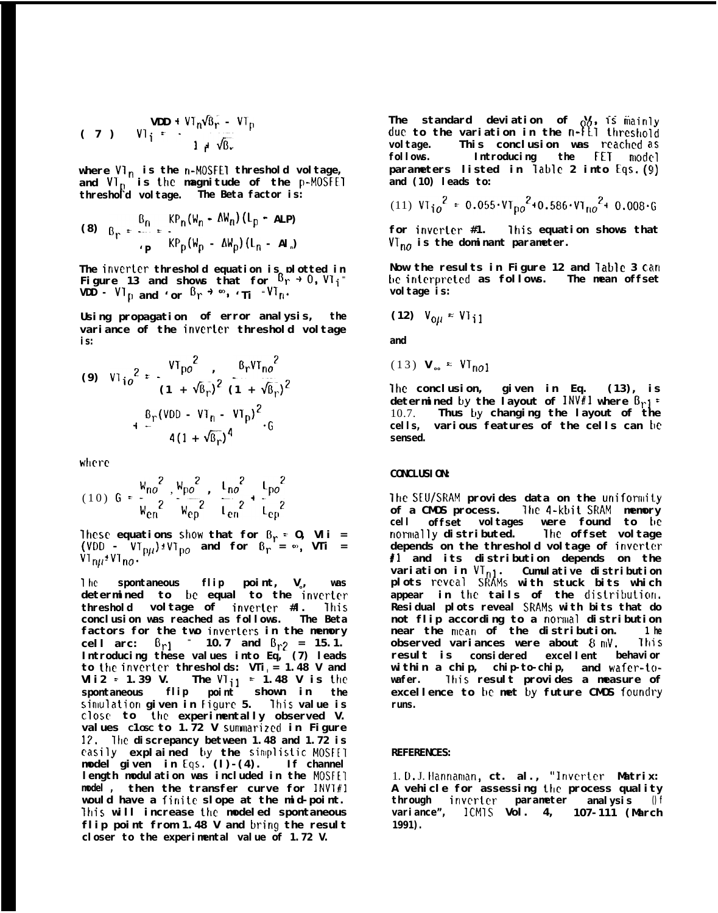(7) 
$$
VDD + VT_n\sqrt{B_r} - VT_p
$$
  
\n $1 + \sqrt{B_r}$ 

where **V1<sub>n</sub>** is the n-MOSFEI threshold voltage, and **V<sub>T</sub>** is the magnitude of the **p-MOSFET threshold voltage. The Beta factor is:**

(8) 
$$
B_r = \frac{B_n}{\mu_P} = \frac{KP_n(W_n - \Delta W_n)(L_p - ALP)}{KP_p(W_p - \Delta W_p)(L_n - ALP)}
$$

**The invertcr threshold equation is plotted in Figure 13 and shows that for Br <sup>+</sup> 0, Vli<sup>=</sup> VDD - 'Tp and 'or 'r <sup>+</sup> '\$ 'Ti <sup>=</sup>'Tn.**

**Using propagation of error analysis, the variance of the inverter threshold voltage is:**

(9) 
$$
VI_{10}^{2} = \frac{VI_{p0}^{2}}{(1 + \sqrt{B_{r}})^{2}} \frac{B_{r}VI_{n0}^{2}}{(1 + \sqrt{B_{r}})^{2}}
$$

$$
+ \frac{B_{r}(VDD - VI_{n} - VI_{p})^{2}}{4(1 + \sqrt{B_{r}})^{4}}.6
$$

**where**

$$
(10) \tG = \frac{W_{no}^{2}}{W_{en}^{2}} \cdot \frac{W_{po}^{2}}{W_{ep}^{2}} \cdot \frac{L_{no}^{2}}{L_{en}^{2}} + \frac{L_{po}^{2}}{L_{ep}^{2}}
$$

**lhcse equations show that for Br = O, Vli =**  $(VDD - VT_{\text{D}II}) \pm VT_{\text{D}O}$  and for  $B_{\text{P}} = \infty$ , VTi =  $V1_{n\mu}$ <sup>+</sup> $V1_{n\sigma}$ .

<sup>1</sup> he **spontaneous flip point, Vo, was determined to km equal to the invcrter threshold voltage of invertcr #l. lhis conclusion was reached as follows. The Beta factors for the two inverters in the memory cell arc:**  $B_{r1}$  = 10.7 and  $B_{r2}$  = 15.1. **Introducing these values into Eq, (7) leads to the invcrter thresholds: VTil = 1.48 V and Vli2 : 1.39 V. The VTil = 1.48 V is the spontaneous flip point shown in the sinwlation given in Figure 5. This value is close to the experimentally observed V. values C1OSC to 1.72 V sunmlarized in Figure 1?, 'Ihc discrepancy between 1.48 and 1.72 is easily explained hy the sinplislic MOSIET model given in Eqs, (l)-(4). If channel length modulation was included in the MOSFE1 model , then the transfer curve for INVT#'1 would have a finite slope at the mid-point. lhis will increase the modeled spontaneous flip point from 1.48 V and bring the result closer to the experimental value of 1.72 V.**

The standard deviation of  $\frac{\partial}{\partial \theta}$ , is mainly due to the variation in the **n-ILI** threshold **voltage. This conclusion was rcachcd as follows. Introducing the FET model parameters listed in lablc 2 into Eqs. (9) and (10) leads to:**

(11) 
$$
VI_{10}^2 = 0.055 \cdot VI_{p0}^2 + 0.586 \cdot VI_{n0}^2 + 0.008 \cdot G
$$

**for inverter #1. lhis equation shows that**  $VI_{n0}$  is the dominant parameter.

**Now the results in Figure 12 and lable 3 can he intcrprctcd as follows. The mean offset voltage is:**

$$
(12) V_{0\mu} \approx V_{11}
$$

**and**

$$
(13) V_{\infty} \approx VI_{n01}
$$

**lhe conclusion, given in Eq. (13), is** determined by the layout of  $INV1$  where  $B_{r1}$  = 10.7. **Thus by changing the layout of the cells, various features of the cells can he sensed.**

#### **CONCLUSION:**

**lhe SEU/SRAM provides data on the unifomlity of a CMOS process. lhe 4-ktJit SRAM memory cell offset voltages were found to t)e nomlally distributed. lhe offset voltage depends on the threshold voltage of invertcr #l and its distribution depends on the variation in VTnl. Cumulative distribution plots reveal SRAMS with stuck bits which** appear in the tails of the distribution. **Residual plots reveal SRAMS with bits that do not flip according to a nomlal distribution near the rncan of the distribution. 1 he observed** variances were about  $8 \text{ mV}$ . This **result is considered excellent behavior within a chip, chip-to-chip, and wafer-towafer. ?his result provides a measure of excellence to be met by future CMOS foundry runs.**

#### **REFERENCES:**

1. D, J. **Ilannaman, ct. al., "lnverter Matrix:** A vehicle for assessing the process quality **through invcrtcr parameter analysis () f variance", ICMIS Vol. 4, 107-111 (March 1991).**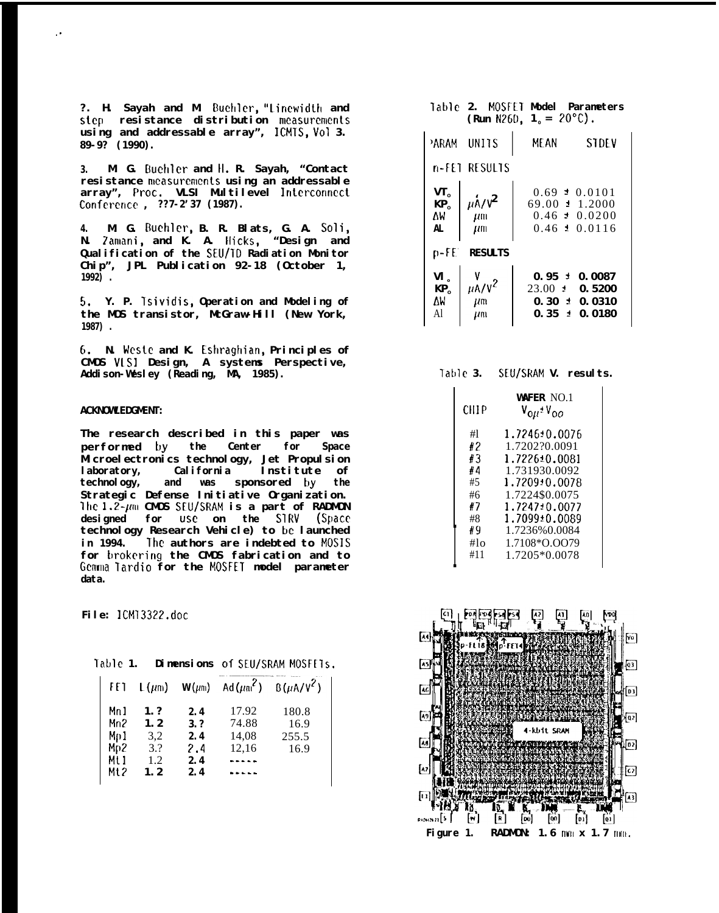**?. H. Sayah and M. Eluchlcr, "lincwidth and step resistance distribution mcasurcmcnts using and addressable array", ICMTS, Vol 3. 89-9? (1990).**

**3. M. G. Buchlcr and Il. R. Sayah, "Contact** resistance measurements using an addressable **array", Proc. VLSI Multilevel lntcrconncct Confercncc , ??7-2'37 (1987).**

**4. M. G. !3uchler, B. R. Blats, G. A. Soli, N. 7amani, and K. A. Ilicks, "Design and** Qualification of the **SEU/ID** Radiation Monitor **Chip", JPL Publication 92-18 (October 1, 1992) .**

5. **Y. P. Tsividis, Operation and Modeling of the MOS transistor, McGraw-Hill (New York, 1987) .**

6. **N. Wcste and K. Eshraghian, Principles of CMOS VISI Design, A systems Perspective, Addison-Wesley (Reading, MA, 1985).**

#### **ACKNOWLEDGMENT:**

,.

**The research described in this paper was performed by the Center for Space Microelectronics technology, Jet Propulsion laboratory, California Institute of technology, and was sponsored by the Strategic Defense Initiative Organization. lhe 1.2-** $\mu$ m CMOS **SEU/SRAM** is a part of RADMON **designed for use on the SIRV (Space technology Research Vehicle) to be launched in 1994. The authors are indebted to** MOSIS **for brokering the CMOS fabrication and to Gcnma Tardio for the MOSFET model parameter data.**

**File: lCM13322.doc**

**Table 1. Dimensions of SEU/SRAM MOSFEIS.**

| FET  | $L(\mu m)$ | $W(\mu m)$ |       | Ad( $\mu$ m <sup>2</sup> ) B( $\mu$ A/V <sup>2</sup> ) |
|------|------------|------------|-------|--------------------------------------------------------|
| Mn 1 | 1.7        | 2.4        | 17.92 | 180.8                                                  |
| Mn2  | 1.2        | 3.7        | 74.88 | 16.9                                                   |
| Mp1  | 3.2        | 2.4        | 14,08 | 255.5                                                  |
| Mp2  | 3.2        | 2.4        | 12,16 | 16.9                                                   |
| Mt 1 | 1.2.       | 2.4        |       |                                                        |
| Mt 2 | 1.2        | 2.4        |       |                                                        |

#### **Table 2. MOSFLT Model Parameters**  $(Run N260, 1<sub>o</sub> = 20°C)$

|                                         | PARAM UNITS                                                 | MF AN<br>STDEV                                                                               |  |  |
|-----------------------------------------|-------------------------------------------------------------|----------------------------------------------------------------------------------------------|--|--|
| n-FET RESULTS                           |                                                             |                                                                                              |  |  |
| $VT_0$<br>KP <sub>0</sub><br>۸W<br>AL   | $\mu \dot{\mathsf{A}} / \mathsf{V}^2$<br>$\mu$ m<br>$\mu$ m | $0.69 \pm 0.0101$<br>$69.00 \pm 1.2000$<br>$0.46 \pm 0.0200$<br>$0.46 \pm 0.0116$            |  |  |
| n-FE′<br><b>RESULTS</b>                 |                                                             |                                                                                              |  |  |
| $VI_{o}$<br>KP <sub>0</sub><br>۸W<br>A1 | $\mu$ A/V^2<br>μm<br>um                                     | $0.95 \pm$<br>0.0087<br>$23.00 \pm 1$<br>0.5200<br>$0.30 \pm 0.0310$<br>$0.35 \pm$<br>0.0180 |  |  |

| Table 3. | SEU/SRAM V. | results. |
|----------|-------------|----------|
|----------|-------------|----------|

| CHIP            | WAFFR NO.1<br>V <sub>OH</sub> ±V <sub>OO</sub> |
|-----------------|------------------------------------------------|
| #1              | 1.7246±0.0076                                  |
| #2              | 1.7202?0.0091                                  |
| #3              | 1.7226±0.0081                                  |
| #4              | 1.731930.0092                                  |
| #5              | 1.7209±0.0078                                  |
| #6              | 1.7224\$0.0075                                 |
| #7              | 1.7247±0.0077                                  |
| #8              | 1.7099±0.0089                                  |
| #9              | 1.7236%0.0084                                  |
| #1 <sub>O</sub> | 1.7108*Q.QQ79                                  |
| #11             | 1.7205*0.0078                                  |

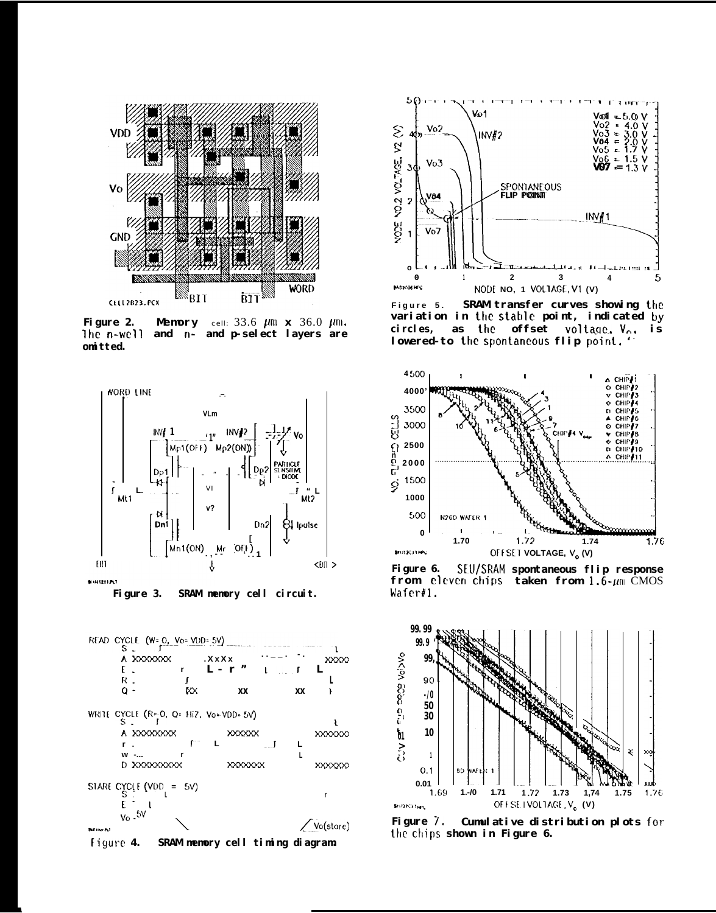

Figure 2. Memory cell:  $33.6 \mu m \times 36.0 \mu m$ . The n-well and n- and p-select layers are omi tted.



SRAM memory cell circuit. Figure 3.



Figure 4. SRAM memory cell timing diagram.



SRAM transfer curves showing the Figure 5. variation in the stable point, indicated by ci rcl es, as the offset voltage. Vo. is lowered-to the spontaneous flip point.



Figure 6. SEU/SRAM spontaneous flip response from eleven chips taken from  $1.6$ - $\mu$ m CMOS Wafer#1.



Figure 7. Cumulative distribution plots for the chips shown in Figure 6.